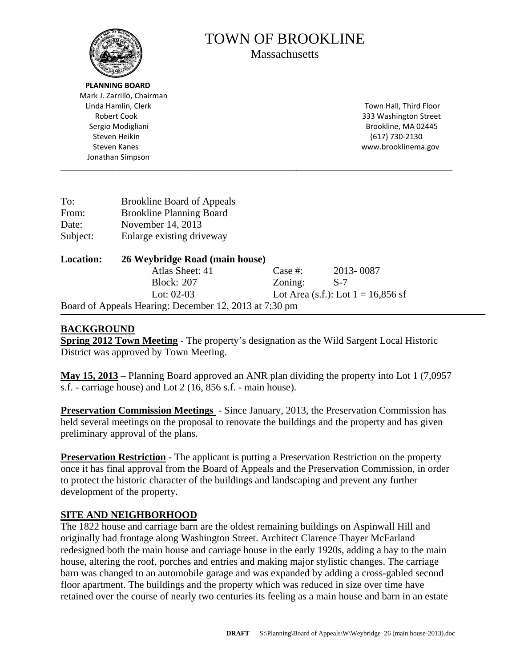

# TOWN OF BROOKLINE

**Massachusetts** 

 Mark J. Zarrillo, Chairman Linda Hamlin, Clerk Town Hall, Third Floor Robert Cook **800 Street** Cook **800 Street** Cook **800 Street** Street Street Street Street Street Street Street Street Street Street Street Street Street Street Street Street Street Street Street Street Street Street Street Sergio Modigliani **Matsualism and Sergio Modigliani** and Sergio Modigliani and Sergio Modigliani and Sergio Matsu Steven Heikin (617) 730‐2130 Steven Kanes www.brooklinema.gov Jonathan Simpson \_\_\_\_\_\_\_\_\_\_\_\_\_\_\_\_\_\_\_\_\_\_\_\_\_\_\_\_\_\_\_\_\_\_\_\_\_\_\_\_\_\_\_\_\_\_\_\_\_\_\_\_\_\_\_\_\_\_\_\_\_\_\_\_\_\_\_\_\_\_\_\_\_\_\_\_\_\_\_\_\_\_\_\_\_\_\_\_\_\_\_\_\_ To: Brookline Board of Appeals From: Brookline Planning Board Date: November 14, 2013 Subject: Enlarge existing driveway

| <b>Location:</b> | 26 Weybridge Road (main house)                         |         |                                      |  |
|------------------|--------------------------------------------------------|---------|--------------------------------------|--|
|                  | Atlas Sheet: 41                                        | Case #: | 2013-0087                            |  |
|                  | <b>Block: 207</b>                                      | Zoning: | S-7                                  |  |
|                  | Lot: $02-03$                                           |         | Lot Area (s.f.): Lot $1 = 16,856$ sf |  |
|                  | Board of Appeals Hearing: December 12, 2013 at 7:30 pm |         |                                      |  |

# **BACKGROUND**

**Spring 2012 Town Meeting** - The property's designation as the Wild Sargent Local Historic District was approved by Town Meeting.

**May 15, 2013** – Planning Board approved an ANR plan dividing the property into Lot 1 (7,0957 s.f. - carriage house) and Lot 2 (16, 856 s.f. - main house).

**Preservation Commission Meetings** - Since January, 2013, the Preservation Commission has held several meetings on the proposal to renovate the buildings and the property and has given preliminary approval of the plans.

**Preservation Restriction** - The applicant is putting a Preservation Restriction on the property once it has final approval from the Board of Appeals and the Preservation Commission, in order to protect the historic character of the buildings and landscaping and prevent any further development of the property.

# **SITE AND NEIGHBORHOOD**

The 1822 house and carriage barn are the oldest remaining buildings on Aspinwall Hill and originally had frontage along Washington Street. Architect Clarence Thayer McFarland redesigned both the main house and carriage house in the early 1920s, adding a bay to the main house, altering the roof, porches and entries and making major stylistic changes. The carriage barn was changed to an automobile garage and was expanded by adding a cross-gabled second floor apartment. The buildings and the property which was reduced in size over time have retained over the course of nearly two centuries its feeling as a main house and barn in an estate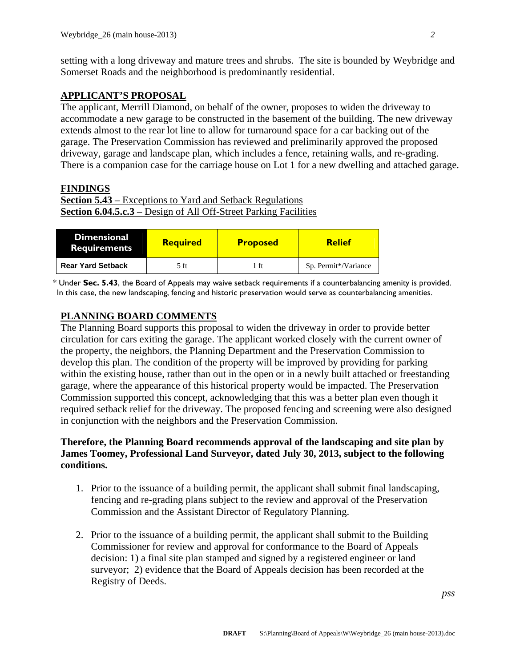setting with a long driveway and mature trees and shrubs. The site is bounded by Weybridge and Somerset Roads and the neighborhood is predominantly residential.

#### **APPLICANT'S PROPOSAL**

The applicant, Merrill Diamond, on behalf of the owner, proposes to widen the driveway to accommodate a new garage to be constructed in the basement of the building. The new driveway extends almost to the rear lot line to allow for turnaround space for a car backing out of the garage. The Preservation Commission has reviewed and preliminarily approved the proposed driveway, garage and landscape plan, which includes a fence, retaining walls, and re-grading. There is a companion case for the carriage house on Lot 1 for a new dwelling and attached garage.

## **FINDINGS**

```
Section 5.43 – Exceptions to Yard and Setback Regulations 
Section 6.04.5.c.3 – Design of All Off-Street Parking Facilities
```

| Dimensional<br><b>Requirements</b> | <b>Required</b> | <b>Proposed</b> | <b>Relief</b>        |
|------------------------------------|-----------------|-----------------|----------------------|
| <b>Rear Yard Setback</b>           | 5 ft            | 1 ft            | Sp. Permit*/Variance |

\* Under **Sec. 5.43**, the Board of Appeals may waive setback requirements if a counterbalancing amenity is provided. In this case, the new landscaping, fencing and historic preservation would serve as counterbalancing amenities.

## **PLANNING BOARD COMMENTS**

The Planning Board supports this proposal to widen the driveway in order to provide better circulation for cars exiting the garage. The applicant worked closely with the current owner of the property, the neighbors, the Planning Department and the Preservation Commission to develop this plan. The condition of the property will be improved by providing for parking within the existing house, rather than out in the open or in a newly built attached or freestanding garage, where the appearance of this historical property would be impacted. The Preservation Commission supported this concept, acknowledging that this was a better plan even though it required setback relief for the driveway. The proposed fencing and screening were also designed in conjunction with the neighbors and the Preservation Commission.

## **Therefore, the Planning Board recommends approval of the landscaping and site plan by James Toomey, Professional Land Surveyor, dated July 30, 2013, subject to the following conditions.**

- 1. Prior to the issuance of a building permit, the applicant shall submit final landscaping, fencing and re-grading plans subject to the review and approval of the Preservation Commission and the Assistant Director of Regulatory Planning.
- 2. Prior to the issuance of a building permit, the applicant shall submit to the Building Commissioner for review and approval for conformance to the Board of Appeals decision: 1) a final site plan stamped and signed by a registered engineer or land surveyor; 2) evidence that the Board of Appeals decision has been recorded at the Registry of Deeds.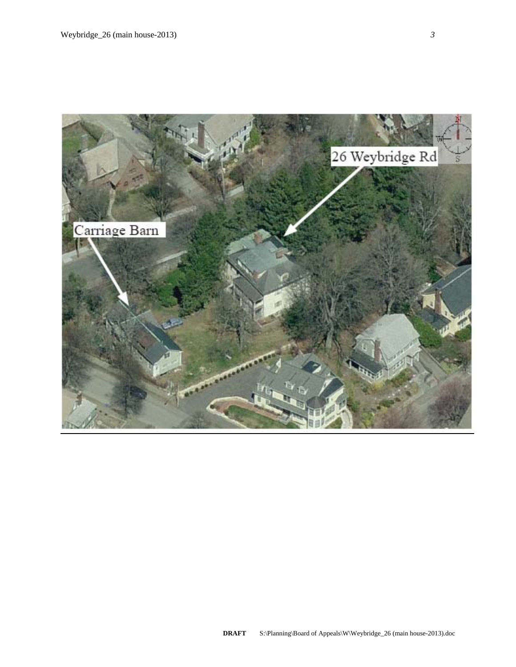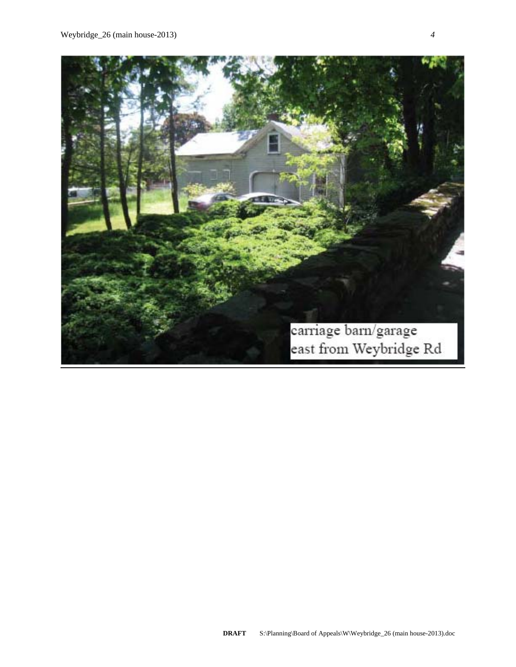